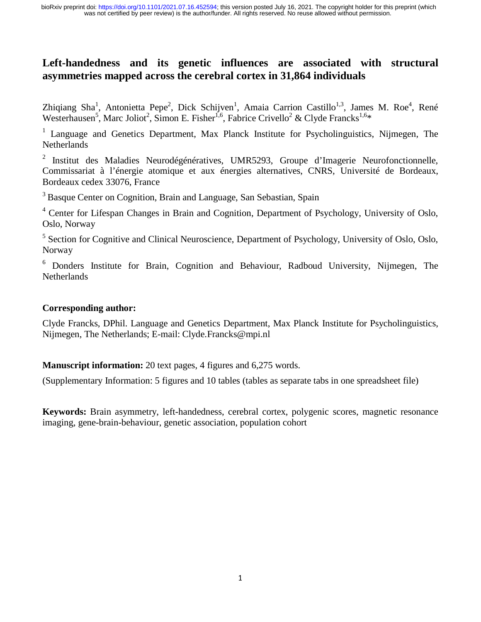# **Left-handedness and its genetic influences are associated with structural asymmetries mapped across the cerebral cortex in 31,864 individuals**

Zhiqiang Sha<sup>1</sup>, Antonietta Pepe<sup>2</sup>, Dick Schijven<sup>1</sup>, Amaia Carrion Castillo<sup>1,3</sup>, James M. Roe<sup>4</sup>, René Westerhausen<sup>5</sup>, Marc Joliot<sup>2</sup>, Simon E. Fisher<sup>1,6</sup>, Fabrice Crivello<sup>2</sup> & Clyde Francks<sup>1,6\*</sup>

<sup>1</sup> Language and Genetics Department, Max Planck Institute for Psycholinguistics, Nijmegen, The **Netherlands** 

<sup>2</sup> Institut des Maladies Neurodégénératives, UMR5293, Groupe d'Imagerie Neurofonctionnelle, Commissariat à l'énergie atomique et aux énergies alternatives, CNRS, Université de Bordeaux, Bordeaux cedex 33076, France

<sup>3</sup> Basque Center on Cognition, Brain and Language, San Sebastian, Spain

Basque Center on Cognition, Brain and Language, San Sebastian, Spain<br>Center for Lifespan Changes in Brain and Cognition, Department of Ps<br>Oslo. Norway <sup>4</sup> Center for Lifespan Changes in Brain and Cognition, Department of Psychology, University of Oslo, Oslo, Norway

<sup>5</sup> Section for Cognitive and Clinical Neuroscience, Department of Psychology, University of Oslo, Oslo, Norway

<sup>6</sup> Donders Institute for Brain, Cognition and Behaviour, Radboud University, Nijmegen, The **Netherlands** 

#### **Corresponding author:**

Clyde Francks, DPhil. Language and Genetics Department, Max Planck Institute for Psycholinguistics, Nijmegen, The Netherlands; E-mail: Clyde.Francks@mpi.nl

**Manuscript information:** 20 text pages, 4 figures and 6,275 words.

(Supplementary Information: 5 figures and 10 tables (tables as separate tabs in one spreadsheet file)

**Keywords:** Brain asymmetry, left-handedness, cerebral cortex, polygenic scores, magnetic resonance imaging, gene-brain-behaviour, genetic association, population cohort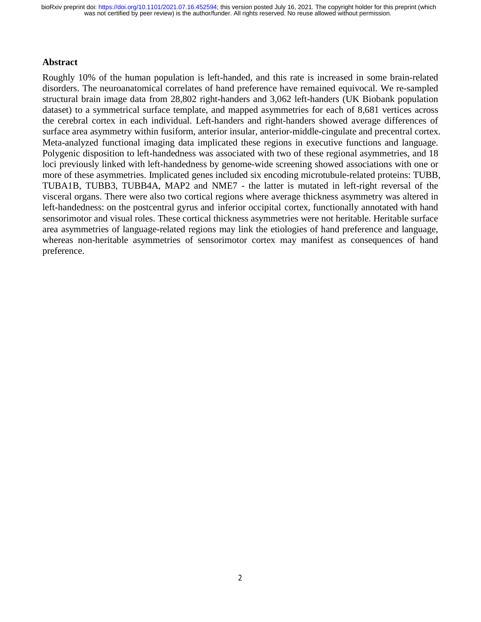#### **Abstract**

Roughly 10% of the human population is left-handed, and this rate is increased in some brain-related disorders. The neuroanatomical correlates of hand preference have remained equivocal. We re-sampled structural brain image data from 28,802 right-handers and 3,062 left-handers (UK Biobank population dataset) to a symmetrical surface template, and mapped asymmetries for each of 8,681 vertices across the cerebral cortex in each individual. Left-handers and right-handers showed average differences of surface area asymmetry within fusiform, anterior insular, anterior-middle-cingulate and precentral cortex. Meta-analyzed functional imaging data implicated these regions in executive functions and language. Polygenic disposition to left-handedness was associated with two of these regional asymmetries, and 18 loci previously linked with left-handedness by genome-wide screening showed associations with one or more of these asymmetries. Implicated genes included six encoding microtubule-related proteins: TUBB, TUBA1B, TUBB3, TUBB4A, MAP2 and NME7 - the latter is mutated in left-right reversal of the visceral organs. There were also two cortical regions where average thickness asymmetry was altered in left-handedness: on the postcentral gyrus and inferior occipital cortex, functionally annotated with hand sensorimotor and visual roles. These cortical thickness asymmetries were not heritable. Heritable surface area asymmetries of language-related regions may link the etiologies of hand preference and language, whereas non-heritable asymmetries of sensorimotor cortex may manifest as consequences of hand preference.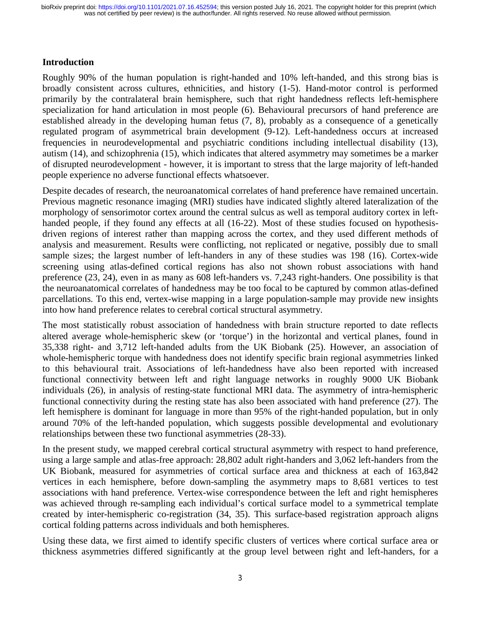#### **Introduction**

Roughly 90% of the human population is right-handed and 10% left-handed, and this strong bias is broadly consistent across cultures, ethnicities, and history (1-5). Hand-motor control is performed primarily by the contralateral brain hemisphere, such that right handedness reflects left-hemisphere specialization for hand articulation in most people (6). Behavioural precursors of hand preference are established already in the developing human fetus (7, 8), probably as a consequence of a genetically regulated program of asymmetrical brain development (9-12). Left-handedness occurs at increased frequencies in neurodevelopmental and psychiatric conditions including intellectual disability (13), autism (14), and schizophrenia (15), which indicates that altered asymmetry may sometimes be a marker of disrupted neurodevelopment - however, it is important to stress that the large majority of left-handed people experience no adverse functional effects whatsoever.

Despite decades of research, the neuroanatomical correlates of hand preference have remained uncertain. Previous magnetic resonance imaging (MRI) studies have indicated slightly altered lateralization of the morphology of sensorimotor cortex around the central sulcus as well as temporal auditory cortex in lefthanded people, if they found any effects at all (16-22). Most of these studies focused on hypothesisdriven regions of interest rather than mapping across the cortex, and they used different methods of analysis and measurement. Results were conflicting, not replicated or negative, possibly due to small sample sizes; the largest number of left-handers in any of these studies was 198 (16). Cortex-wide screening using atlas-defined cortical regions has also not shown robust associations with hand preference (23, 24), even in as many as 608 left-handers vs. 7,243 right-handers. One possibility is that the neuroanatomical correlates of handedness may be too focal to be captured by common atlas-defined parcellations. To this end, vertex-wise mapping in a large population-sample may provide new insights into how hand preference relates to cerebral cortical structural asymmetry.

The most statistically robust association of handedness with brain structure reported to date reflects altered average whole-hemispheric skew (or 'torque') in the horizontal and vertical planes, found in 35,338 right- and 3,712 left-handed adults from the UK Biobank (25). However, an association of whole-hemispheric torque with handedness does not identify specific brain regional asymmetries linked to this behavioural trait. Associations of left-handedness have also been reported with increased functional connectivity between left and right language networks in roughly 9000 UK Biobank individuals (26), in analysis of resting-state functional MRI data. The asymmetry of intra-hemispheric functional connectivity during the resting state has also been associated with hand preference (27). The left hemisphere is dominant for language in more than 95% of the right-handed population, but in only around 70% of the left-handed population, which suggests possible developmental and evolutionary relationships between these two functional asymmetries (28-33).

In the present study, we mapped cerebral cortical structural asymmetry with respect to hand preference, using a large sample and atlas-free approach: 28,802 adult right-handers and 3,062 left-handers from the UK Biobank, measured for asymmetries of cortical surface area and thickness at each of 163,842 vertices in each hemisphere, before down-sampling the asymmetry maps to 8,681 vertices to test associations with hand preference. Vertex-wise correspondence between the left and right hemispheres was achieved through re-sampling each individual's cortical surface model to a symmetrical template created by inter-hemispheric co-registration (34, 35). This surface-based registration approach aligns cortical folding patterns across individuals and both hemispheres.

Using these data, we first aimed to identify specific clusters of vertices where cortical surface area or thickness asymmetries differed significantly at the group level between right and left-handers, for a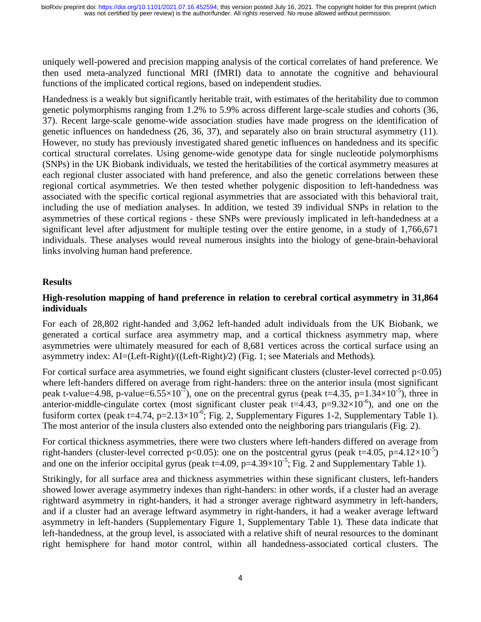uniquely well-powered and precision mapping analysis of the cortical correlates of hand preference. We then used meta-analyzed functional MRI (fMRI) data to annotate the cognitive and behavioural functions of the implicated cortical regions, based on independent studies.

Handedness is a weakly but significantly heritable trait, with estimates of the heritability due to common genetic polymorphisms ranging from 1.2% to 5.9% across different large-scale studies and cohorts (36, 37). Recent large-scale genome-wide association studies have made progress on the identification of genetic influences on handedness (26, 36, 37), and separately also on brain structural asymmetry (11). However, no study has previously investigated shared genetic influences on handedness and its specific cortical structural correlates. Using genome-wide genotype data for single nucleotide polymorphisms (SNPs) in the UK Biobank individuals, we tested the heritabilities of the cortical asymmetry measures at each regional cluster associated with hand preference, and also the genetic correlations between these regional cortical asymmetries. We then tested whether polygenic disposition to left-handedness was associated with the specific cortical regional asymmetries that are associated with this behavioral trait, including the use of mediation analyses. In addition, we tested 39 individual SNPs in relation to the asymmetries of these cortical regions - these SNPs were previously implicated in left-handedness at a significant level after adjustment for multiple testing over the entire genome, in a study of 1,766,671 individuals. These analyses would reveal numerous insights into the biology of gene-brain-behavioral links involving human hand preference.

#### **Results**

### **High-resolution mapping of hand preference in relation to cerebral cortical asymmetry in 31,864 individuals**

For each of 28,802 right-handed and 3,062 left-handed adult individuals from the UK Biobank, we generated a cortical surface area asymmetry map, and a cortical thickness asymmetry map, where asymmetries were ultimately measured for each of 8,681 vertices across the cortical surface using an asymmetry index: AI=(Left-Right)/((Left-Right)/2) (Fig. 1; see Materials and Methods).

For cortical surface area asymmetries, we found eight significant clusters (cluster-level corrected  $p<0.05$ ) where left-handers differed on average from right-handers: three on the anterior insula (most significant peak t-value=4.98, p-value=6.55×10<sup>-7</sup>), one on the precentral gyrus (peak t=4.35, p=1.34×10<sup>-5</sup>), three in anterior-middle-cingulate cortex (most significant cluster peak  $t=4.43$ ,  $p=9.32\times10^{-6}$ ), and one on the fusiform cortex (peak t=4.74, p= $2.13\times10^{-6}$ ; Fig. 2, Supplementary Figures 1-2, Supplementary Table 1). The most anterior of the insula clusters also extended onto the neighboring pars triangularis (Fig. 2).

For cortical thickness asymmetries, there were two clusters where left-handers differed on average from right-handers (cluster-level corrected p<0.05): one on the postcentral gyrus (peak t=4.05, p=4.12×10<sup>-5</sup>) and one on the inferior occipital gyrus (peak t=4.09, p=4.39×10<sup>-5</sup>; Fig. 2 and Supplementary Table 1).

Strikingly, for all surface area and thickness asymmetries within these significant clusters, left-handers showed lower average asymmetry indexes than right-handers: in other words, if a cluster had an average rightward asymmetry in right-handers, it had a stronger average rightward asymmetry in left-handers, and if a cluster had an average leftward asymmetry in right-handers, it had a weaker average leftward asymmetry in left-handers (Supplementary Figure 1, Supplementary Table 1). These data indicate that left-handedness, at the group level, is associated with a relative shift of neural resources to the dominant right hemisphere for hand motor control, within all handedness-associated cortical clusters. The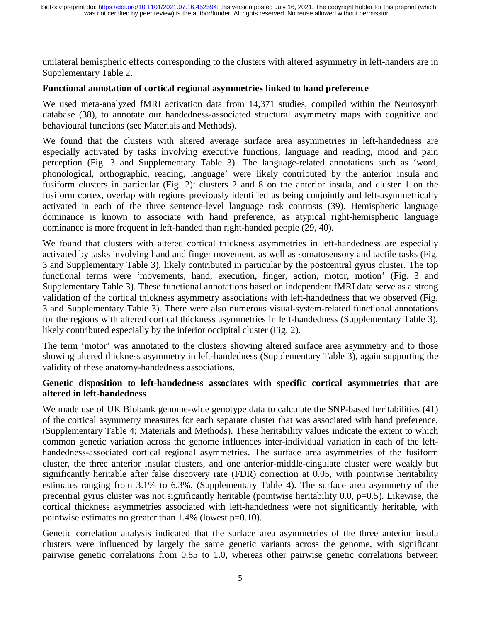unilateral hemispheric effects corresponding to the clusters with altered asymmetry in left-handers are in Supplementary Table 2.

#### **Functional annotation of cortical regional asymmetries linked to hand preference**

We used meta-analyzed fMRI activation data from 14,371 studies, compiled within the Neurosynth database (38), to annotate our handedness-associated structural asymmetry maps with cognitive and behavioural functions (see Materials and Methods).

We found that the clusters with altered average surface area asymmetries in left-handedness are especially activated by tasks involving executive functions, language and reading, mood and pain perception (Fig. 3 and Supplementary Table 3). The language-related annotations such as 'word, phonological, orthographic, reading, language' were likely contributed by the anterior insula and fusiform clusters in particular (Fig. 2): clusters 2 and 8 on the anterior insula, and cluster 1 on the fusiform cortex, overlap with regions previously identified as being conjointly and left-asymmetrically activated in each of the three sentence-level language task contrasts (39). Hemispheric language dominance is known to associate with hand preference, as atypical right-hemispheric language dominance is more frequent in left-handed than right-handed people (29, 40).

We found that clusters with altered cortical thickness asymmetries in left-handedness are especially activated by tasks involving hand and finger movement, as well as somatosensory and tactile tasks (Fig. 3 and Supplementary Table 3), likely contributed in particular by the postcentral gyrus cluster. The top functional terms were 'movements, hand, execution, finger, action, motor, motion' (Fig. 3 and Supplementary Table 3). These functional annotations based on independent fMRI data serve as a strong validation of the cortical thickness asymmetry associations with left-handedness that we observed (Fig. 3 and Supplementary Table 3). There were also numerous visual-system-related functional annotations for the regions with altered cortical thickness asymmetries in left-handedness (Supplementary Table 3), likely contributed especially by the inferior occipital cluster (Fig. 2).

The term 'motor' was annotated to the clusters showing altered surface area asymmetry and to those showing altered thickness asymmetry in left-handedness (Supplementary Table 3), again supporting the validity of these anatomy-handedness associations.

## **Genetic disposition to left-handedness associates with specific cortical asymmetries that are altered in left-handedness**

We made use of UK Biobank genome-wide genotype data to calculate the SNP-based heritabilities (41) of the cortical asymmetry measures for each separate cluster that was associated with hand preference, (Supplementary Table 4; Materials and Methods). These heritability values indicate the extent to which common genetic variation across the genome influences inter-individual variation in each of the lefthandedness-associated cortical regional asymmetries. The surface area asymmetries of the fusiform cluster, the three anterior insular clusters, and one anterior-middle-cingulate cluster were weakly but significantly heritable after false discovery rate (FDR) correction at 0.05, with pointwise heritability estimates ranging from 3.1% to 6.3%, (Supplementary Table 4). The surface area asymmetry of the precentral gyrus cluster was not significantly heritable (pointwise heritability  $0.0$ ,  $p=0.5$ ). Likewise, the cortical thickness asymmetries associated with left-handedness were not significantly heritable, with pointwise estimates no greater than 1.4% (lowest p=0.10).

Genetic correlation analysis indicated that the surface area asymmetries of the three anterior insula clusters were influenced by largely the same genetic variants across the genome, with significant pairwise genetic correlations from 0.85 to 1.0, whereas other pairwise genetic correlations between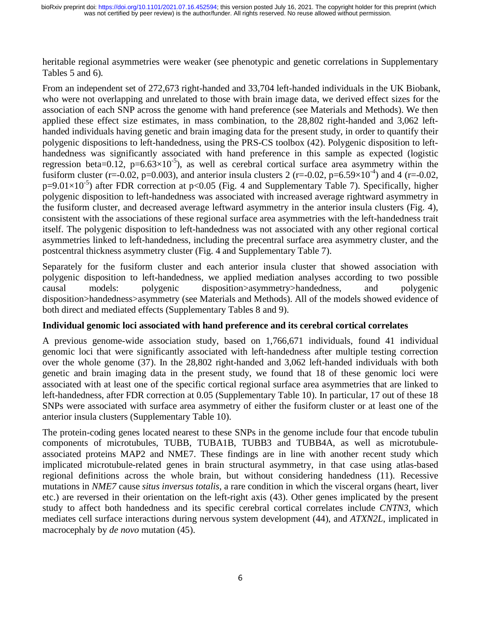heritable regional asymmetries were weaker (see phenotypic and genetic correlations in Supplementary Tables 5 and 6).

From an independent set of 272,673 right-handed and 33,704 left-handed individuals in the UK Biobank, who were not overlapping and unrelated to those with brain image data, we derived effect sizes for the association of each SNP across the genome with hand preference (see Materials and Methods). We then applied these effect size estimates, in mass combination, to the 28,802 right-handed and 3,062 lefthanded individuals having genetic and brain imaging data for the present study, in order to quantify their polygenic dispositions to left-handedness, using the PRS-CS toolbox (42). Polygenic disposition to lefthandedness was significantly associated with hand preference in this sample as expected (logistic regression beta=0.12,  $p=6.63\times10^{-5}$ ), as well as cerebral cortical surface area asymmetry within the fusiform cluster (r=-0.02, p=0.003), and anterior insula clusters 2 (r=-0.02, p=6.59×10<sup>-4</sup>) and 4 (r=-0.02,  $p=9.01\times10^{-5}$ ) after FDR correction at  $p<0.05$  (Fig. 4 and Supplementary Table 7). Specifically, higher polygenic disposition to left-handedness was associated with increased average rightward asymmetry in the fusiform cluster, and decreased average leftward asymmetry in the anterior insula clusters (Fig. 4), consistent with the associations of these regional surface area asymmetries with the left-handedness trait itself. The polygenic disposition to left-handedness was not associated with any other regional cortical asymmetries linked to left-handedness, including the precentral surface area asymmetry cluster, and the postcentral thickness asymmetry cluster (Fig. 4

and Supplementary Table 7).<br>
h anterior insula cluster that<br>
applied mediation analyses Separately for the fusiform cluster and each anterior insula cluster that showed association with polygenic disposition to left-handedness, we applied mediation analyses according to two possible causal models: polygenic disposition>asymmetry>handedness, and polygenic disposition>handedness>asymmetry (see Materials and Methods). All of the models showed evidence of both direct and mediated effects (Supplementary Tables 8 and 9).

## **Individual genomic loci associated with hand preference and its cerebral cortical correlates**

A previous genome-wide association study, based on 1,766,671 individuals, found 41 individual genomic loci that were significantly associated with left-handedness after multiple testing correction over the whole genome (37). In the 28,802 right-handed and 3,062 left-handed individuals with both genetic and brain imaging data in the present study, we found that 18 of these genomic loci were associated with at least one of the specific cortical regional surface area asymmetries that are linked to left-handedness, after FDR correction at 0.05 (Supplementary Table 10). In particular, 17 out of these 18 SNPs were associated with surface area asymmetry of either the fusiform cluster or at least one of the anterior insula clusters (Supplementary Table 10).

The protein-coding genes located nearest to these SNPs in the genome include four that encode tubulin components of microtubules, TUBB, TUBA1B, TUBB3 and TUBB4A, as well as microtubuleassociated proteins MAP2 and NME7. These findings are in line with another recent study which implicated microtubule-related genes in brain structural asymmetry, in that case using atlas-based regional definitions across the whole brain, but without considering handedness (11). Recessive mutations in *NME7* cause *situs inversus totalis*, a rare condition in which the visceral organs (heart, liver etc.) are reversed in their orientation on the left-right axis (43). Other genes implicated by the present study to affect both handedness and its specific cerebral cortical correlates include *CNTN3*, which mediates cell surface interactions during nervous system development (44), and *ATXN2L*, implicated in macrocephaly by *de novo* mutation (45).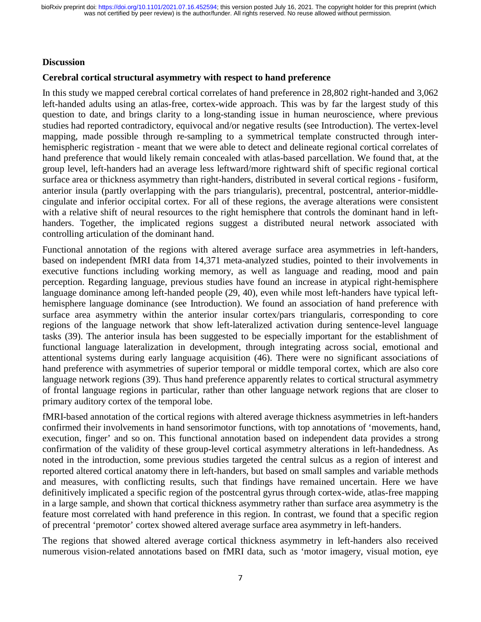#### **Discussion**

#### **Cerebral cortical structural asymmetry with respect to hand preference**

In this study we mapped cerebral cortical correlates of hand preference in 28,802 right-handed and 3,062 left-handed adults using an atlas-free, cortex-wide approach. This was by far the largest study of this question to date, and brings clarity to a long-standing issue in human neuroscience, where previous studies had reported contradictory, equivocal and/or negative results (see Introduction). The vertex-level mapping, made possible through re-sampling to a symmetrical template constructed through interhemispheric registration - meant that we were able to detect and delineate regional cortical correlates of hand preference that would likely remain concealed with atlas-based parcellation. We found that, at the group level, left-handers had an average less leftward/more rightward shift of specific regional cortical surface area or thickness asymmetry than right-handers, distributed in several cortical regions - fusiform, anterior insula (partly overlapping with the pars triangularis), precentral, postcentral, anterior-middlecingulate and inferior occipital cortex. For all of these regions, the average alterations were consistent with a relative shift of neural resources to the right hemisphere that controls the dominant hand in lefthanders. Together, the implicated regions suggest a distributed neural network associated with controlling articulation of the dominant hand.

Functional annotation of the regions with altered average surface area asymmetries in left-handers, based on independent fMRI data from 14,371 meta-analyzed studies, pointed to their involvements in executive functions including working memory, as well as language and reading, mood and pain perception. Regarding language, previous studies have found an increase in atypical right-hemisphere language dominance among left-handed people (29, 40), even while most left-handers have typical lefthemisphere language dominance (see Introduction). We found an association of hand preference with surface area asymmetry within the anterior insular cortex/pars triangularis, corresponding to core regions of the language network that show left-lateralized activation during sentence-level language tasks (39). The anterior insula has been suggested to be especially important for the establishment of functional language lateralization in development, through integrating across social, emotional and attentional systems during early language acquisition (46). There were no significant associations of hand preference with asymmetries of superior temporal or middle temporal cortex, which are also core language network regions (39). Thus hand preference apparently relates to cortical structural asymmetry of frontal language regions in particular, rather than other language network regions that are closer to primary auditory cortex of the temporal lobe.

fMRI-based annotation of the cortical regions with altered average thickness asymmetries in left-handers confirmed their involvements in hand sensorimotor functions, with top annotations of 'movements, hand, execution, finger' and so on. This functional annotation based on independent data provides a strong confirmation of the validity of these group-level cortical asymmetry alterations in left-handedness. As noted in the introduction, some previous studies targeted the central sulcus as a region of interest and reported altered cortical anatomy there in left-handers, but based on small samples and variable methods and measures, with conflicting results, such that findings have remained uncertain. Here we have definitively implicated a specific region of the postcentral gyrus through cortex-wide, atlas-free mapping in a large sample, and shown that cortical thickness asymmetry rather than surface area asymmetry is the feature most correlated with hand preference in this region. In contrast, we found that a specific region of precentral 'premotor' cortex showed altered average surface area asymmetry in left-handers.

The regions that showed altered average cortical thickness asymmetry in left-handers also received numerous vision-related annotations based on fMRI data, such as 'motor imagery, visual motion, eye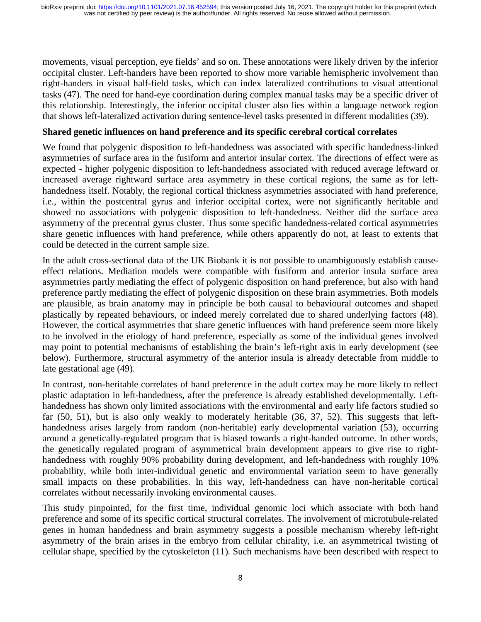movements, visual perception, eye fields' and so on. These annotations were likely driven by the inferior occipital cluster. Left-handers have been reported to show more variable hemispheric involvement than right-handers in visual half-field tasks, which can index lateralized contributions to visual attentional tasks (47). The need for hand-eye coordination during complex manual tasks may be a specific driver of this relationship. Interestingly, the inferior occipital cluster also lies within a language network region that shows left-lateralized activation during sentence-level tasks presented in different modalities (39).

#### **Shared genetic influences on hand preference and its specific cerebral cortical correlates**

We found that polygenic disposition to left-handedness was associated with specific handedness-linked asymmetries of surface area in the fusiform and anterior insular cortex. The directions of effect were as expected - higher polygenic disposition to left-handedness associated with reduced average leftward or increased average rightward surface area asymmetry in these cortical regions, the same as for lefthandedness itself. Notably, the regional cortical thickness asymmetries associated with hand preference, i.e., within the postcentral gyrus and inferior occipital cortex, were not significantly heritable and showed no associations with polygenic disposition to left-handedness. Neither did the surface area asymmetry of the precentral gyrus cluster. Thus some specific handedness-related cortical asymmetries share genetic influences with hand preference, while others apparently do not, at least to extents that could be detected in the current sample size.

In the adult cross-sectional data of the UK Biobank it is not possible to unambiguously establish causeeffect relations. Mediation models were compatible with fusiform and anterior insula surface area asymmetries partly mediating the effect of polygenic disposition on hand preference, but also with hand preference partly mediating the effect of polygenic disposition on these brain asymmetries. Both models are plausible, as brain anatomy may in principle be both causal to behavioural outcomes and shaped plastically by repeated behaviours, or indeed merely correlated due to shared underlying factors (48). However, the cortical asymmetries that share genetic influences with hand preference seem more likely to be involved in the etiology of hand preference, especially as some of the individual genes involved may point to potential mechanisms of establishing the brain's left-right axis in early development (see below). Furthermore, structural asymmetry of the anterior insula is already detectable from middle to late gestational age (49).

In contrast, non-heritable correlates of hand preference in the adult cortex may be more likely to reflect plastic adaptation in left-handedness, after the preference is already established developmentally. Lefthandedness has shown only limited associations with the environmental and early life factors studied so far (50, 51), but is also only weakly to moderately heritable (36, 37, 52). This suggests that lefthandedness arises largely from random (non-heritable) early developmental variation (53), occurring around a genetically-regulated program that is biased towards a right-handed outcome. In other words, the genetically regulated program of asymmetrical brain development appears to give rise to righthandedness with roughly 90% probability during development, and left-handedness with roughly 10% probability, while both inter-individual genetic and environmental variation seem to have generally small impacts on these probabilities. In this way, left-handedness can have non-heritable cortical correlates without necessarily invoking environmental causes.

This study pinpointed, for the first time, individual genomic loci which associate with both hand preference and some of its specific cortical structural correlates. The involvement of microtubule-related genes in human handedness and brain asymmetry suggests a possible mechanism whereby left-right asymmetry of the brain arises in the embryo from cellular chirality, i.e. an asymmetrical twisting of cellular shape, specified by the cytoskeleton (11). Such mechanisms have been described with respect to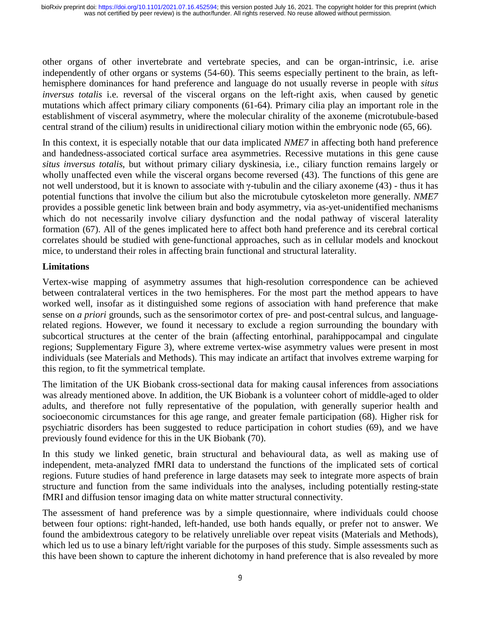other organs of other invertebrate and vertebrate species, and can be organ-intrinsic, i.e. arise independently of other organs or systems (54-60). This seems especially pertinent to the brain, as lefthemisphere dominances for hand preference and language do not usually reverse in people with *situs inversus totalis* i.e. reversal of the visceral organs on the left-right axis, when caused by genetic mutations which affect primary ciliary components (61-64). Primary cilia play an important role in the establishment of visceral asymmetry, where the molecular chirality of the axoneme (microtubule-based central strand of the cilium) results in unidirectional ciliary motion within the embryonic node (65, 66).

In this context, it is especially notable that our data implicated *NME7* in affecting both hand preference and handedness-associated cortical surface area asymmetries. Recessive mutations in this gene cause *situs inversus totalis*, but without primary ciliary dyskinesia, i.e., ciliary function remains largely or wholly unaffected even while the visceral organs become reversed (43). The functions of this gene are not well understood, but it is known to associate with γ-tubulin and the ciliary axoneme (43) - thus it has potential functions that involve the cilium but also the microtubule cytoskeleton more generally. *NME7* provides a possible genetic link between brain and body asymmetry, via as-yet-unidentified mechanisms which do not necessarily involve ciliary dysfunction and the nodal pathway of visceral laterality formation (67). All of the genes implicated here to affect both hand preference and its cerebral cortical correlates should be studied with gene-functional approaches, such as in cellular models and knockout mice, to understand their roles in affecting brain functional and structural laterality.

# **Limitations**

Vertex-wise mapping of asymmetry assumes that high-resolution correspondence can be achieved between contralateral vertices in the two hemispheres. For the most part the method appears to have worked well, insofar as it distinguished some regions of association with hand preference that make sense on *a priori* grounds, such as the sensorimotor cortex of pre- and post-central sulcus, and languagerelated regions. However, we found it necessary to exclude a region surrounding the boundary with subcortical structures at the center of the brain (affecting entorhinal, parahippocampal and cingulate regions; Supplementary Figure 3), where extreme vertex-wise asymmetry values were present in most individuals (see Materials and Methods). This may indicate an artifact that involves extreme warping for this region, to fit the symmetrical template.

The limitation of the UK Biobank cross-sectional data for making causal inferences from associations was already mentioned above. In addition, the UK Biobank is a volunteer cohort of middle-aged to older adults, and therefore not fully representative of the population, with generally superior health and socioeconomic circumstances for this age range, and greater female participation (68). Higher risk for psychiatric disorders has been suggested to reduce participation in cohort studies (69), and we have previously found evidence for this in the UK Biobank (70).

In this study we linked genetic, brain structural and behavioural data, as well as making use of independent, meta-analyzed fMRI data to understand the functions of the implicated sets of cortical regions. Future studies of hand preference in large datasets may seek to integrate more aspects of brain structure and function from the same individuals into the analyses, including potentially resting-state fMRI and diffusion tensor imaging data on white matter structural connectivity.

The assessment of hand preference was by a simple questionnaire, where individuals could choose between four options: right-handed, left-handed, use both hands equally, or prefer not to answer. We found the ambidextrous category to be relatively unreliable over repeat visits (Materials and Methods), which led us to use a binary left/right variable for the purposes of this study. Simple assessments such as this have been shown to capture the inherent dichotomy in hand preference that is also revealed by more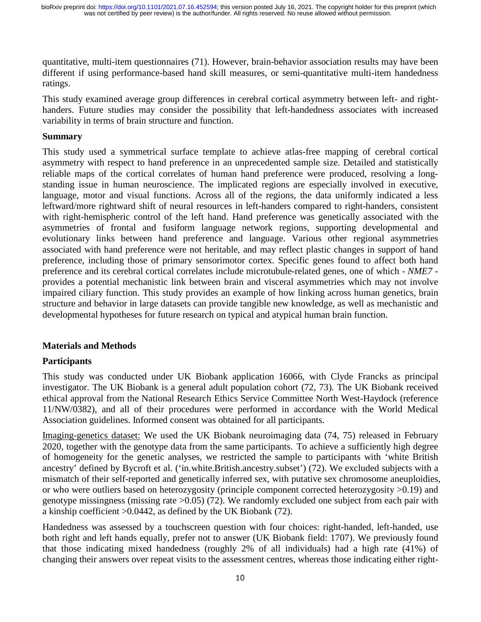quantitative, multi-item questionnaires (71). However, brain-behavior association results may have been different if using performance-based hand skill measures, or semi-quantitative multi-item handedness ratings.

This study examined average group differences in cerebral cortical asymmetry between left- and righthanders. Future studies may consider the possibility that left-handedness associates with increased variability in terms of brain structure and function.

#### **Summary**

This study used a symmetrical surface template to achieve atlas-free mapping of cerebral cortical asymmetry with respect to hand preference in an unprecedented sample size. Detailed and statistically reliable maps of the cortical correlates of human hand preference were produced, resolving a longstanding issue in human neuroscience. The implicated regions are especially involved in executive, language, motor and visual functions. Across all of the regions, the data uniformly indicated a less leftward/more rightward shift of neural resources in left-handers compared to right-handers, consistent with right-hemispheric control of the left hand. Hand preference was genetically associated with the asymmetries of frontal and fusiform language network regions, supporting developmental and evolutionary links between hand preference and language. Various other regional asymmetries associated with hand preference were not heritable, and may reflect plastic changes in support of hand preference, including those of primary sensorimotor cortex. Specific genes found to affect both hand preference and its cerebral cortical correlates include microtubule-related genes, one of which - *NME7* provides a potential mechanistic link between brain and visceral asymmetries which may not involve impaired ciliary function. This study provides an example of how linking across human genetics, brain structure and behavior in large datasets can provide tangible new knowledge, as well as mechanistic and developmental hypotheses for future research on typical and atypical human brain function.

## **Materials and Methods**

## **Participants**

This study was conducted under UK Biobank application 16066, with Clyde Francks as principal investigator. The UK Biobank is a general adult population cohort (72, 73). The UK Biobank received ethical approval from the National Research Ethics Service Committee North West-Haydock (reference 11/NW/0382), and all of their procedures were performed in accordance with the World Medical Association guidelines. Informed consent was obtained for all participants.

Imaging-genetics dataset: We used the UK Biobank neuroimaging data (74, 75) released in February 2020, together with the genotype data from the same participants. To achieve a sufficiently high degree of homogeneity for the genetic analyses, we restricted the sample to participants with 'white British ancestry' defined by Bycroft et al. ('in.white.British.ancestry.subset') (72). We excluded subjects with a mismatch of their self-reported and genetically inferred sex, with putative sex chromosome aneuploidies, or who were outliers based on heterozygosity (principle component corrected heterozygosity >0.19) and genotype missingness (missing rate >0.05) (72). We randomly excluded one subject from each pair with a kinship coefficient >0.0442, as defined by the UK Biobank (72).

Handedness was assessed by a touchscreen question with four choices: right-handed, left-handed, use both right and left hands equally, prefer not to answer (UK Biobank field: 1707). We previously found that those indicating mixed handedness (roughly 2% of all individuals) had a high rate (41%) of changing their answers over repeat visits to the assessment centres, whereas those indicating either right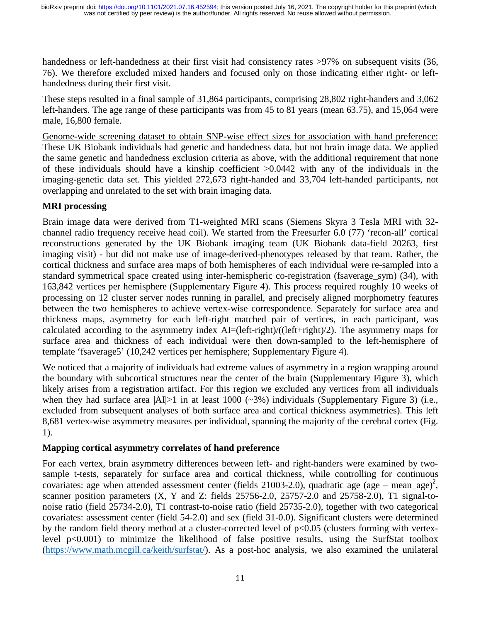handedness or left-handedness at their first visit had consistency rates >97% on subsequent visits (36, 76). We therefore excluded mixed handers and focused only on those indicating either right- or lefthandedness during their first visit.

These steps resulted in a final sample of 31,864 participants, comprising 28,802 right-handers and 3,062 left-handers. The age range of these participants was from 45 to 81 years (mean 63.75), and 15,064 were male, 16,800 female.

Genome-wide screening dataset to obtain SNP-wise effect sizes for association with hand preference: These UK Biobank individuals had genetic and handedness data, but not brain image data. We applied the same genetic and handedness exclusion criteria as above, with the additional requirement that none of these individuals should have a kinship coefficient >0.0442 with any of the individuals in the imaging-genetic data set. This yielded 272,673 right-handed and 33,704 left-handed participants, not overlapping and unrelated to the set with brain imaging data.

# **MRI processing**

Brain image data were derived from T1-weighted MRI scans (Siemens Skyra 3 Tesla MRI with 32 channel radio frequency receive head coil). We started from the Freesurfer 6.0 (77) 'recon-all' cortical reconstructions generated by the UK Biobank imaging team (UK Biobank data-field 20263, first imaging visit) - but did not make use of image-derived-phenotypes released by that team. Rather, the cortical thickness and surface area maps of both hemispheres of each individual were re-sampled into a standard symmetrical space created using inter-hemispheric co-registration (fsaverage\_sym) (34), with 163,842 vertices per hemisphere (Supplementary Figure 4). This process required roughly 10 weeks of processing on 12 cluster server nodes running in parallel, and precisely aligned morphometry features between the two hemispheres to achieve vertex-wise correspondence. Separately for surface area and thickness maps, asymmetry for each left-right matched pair of vertices, in each participant, was calculated according to the asymmetry index AI=(left-right)/((left+right)/2). The asymmetry maps for surface area and thickness of each individual were then down-sampled to the left-hemisphere of template 'fsaverage5' (10,242 vertices per hemisphere; Supplementary Figure 4).

We noticed that a majority of individuals had extreme values of asymmetry in a region wrapping around the boundary with subcortical structures near the center of the brain (Supplementary Figure 3), which likely arises from a registration artifact. For this region we excluded any vertices from all individuals when they had surface area  $|AI|>1$  in at least 1000 ( $\sim$ 3%) individuals (Supplementary Figure 3) (i.e., excluded from subsequent analyses of both surface area and cortical thickness asymmetries). This left 8,681 vertex-wise asymmetry measures per individual, spanning the majority of the cerebral cortex (Fig. 1).

## **Mapping cortical asymmetry correlates of hand preference**

For each vertex, brain asymmetry differences between left- and right-handers were examined by twosample t-tests, separately for surface area and cortical thickness, while controlling for continuous covariates: age when attended assessment center (fields 21003-2.0), quadratic age (age – mean\_age)<sup>2</sup>, scanner position parameters (X, Y and Z: fields 25756-2.0, 25757-2.0 and 25758-2.0), T1 signal-tonoise ratio (field 25734-2.0), T1 contrast-to-noise ratio (field 25735-2.0), together with two categorical covariates: assessment center (field 54-2.0) and sex (field 31-0.0). Significant clusters were determined by the random field theory method at a cluster-corrected level of  $p<0.05$  (clusters forming with vertexlevel p<0.001) to minimize the likelihood of false positive results, using the SurfStat toolbox (https://www.math.mcgill.ca/keith/surfstat/). As a post-hoc analysis, we also examined the unilateral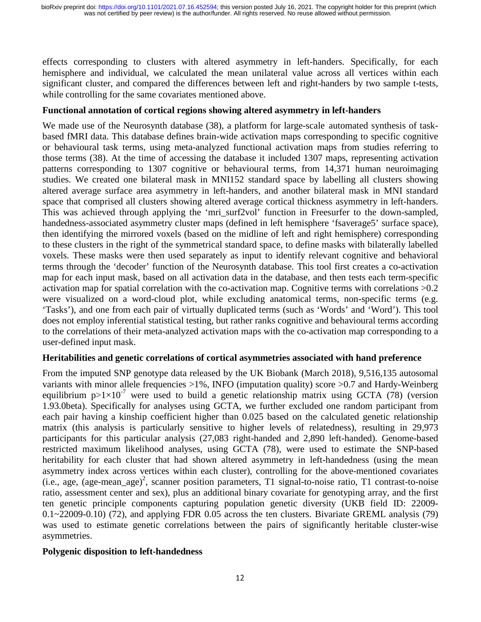effects corresponding to clusters with altered asymmetry in left-handers. Specifically, for each hemisphere and individual, we calculated the mean unilateral value across all vertices within each significant cluster, and compared the differences between left and right-handers by two sample t-tests, while controlling for the same covariates mentioned above.

## **Functional annotation of cortical regions showing altered asymmetry in left-handers**

We made use of the Neurosynth database (38), a platform for large-scale automated synthesis of taskbased fMRI data. This database defines brain-wide activation maps corresponding to specific cognitive or behavioural task terms, using meta-analyzed functional activation maps from studies referring to those terms (38). At the time of accessing the database it included 1307 maps, representing activation patterns corresponding to 1307 cognitive or behavioural terms, from 14,371 human neuroimaging studies. We created one bilateral mask in MNI152 standard space by labelling all clusters showing altered average surface area asymmetry in left-handers, and another bilateral mask in MNI standard space that comprised all clusters showing altered average cortical thickness asymmetry in left-handers. This was achieved through applying the 'mri\_surf2vol' function in Freesurfer to the down-sampled, handedness-associated asymmetry cluster maps (defined in left hemisphere 'fsaverage5' surface space), then identifying the mirrored voxels (based on the midline of left and right hemisphere) corresponding to these clusters in the right of the symmetrical standard space, to define masks with bilaterally labelled voxels. These masks were then used separately as input to identify relevant cognitive and behavioral terms through the 'decoder' function of the Neurosynth database. This tool first creates a co-activation map for each input mask, based on all activation data in the database, and then tests each term-specific activation map for spatial correlation with the co-activation map. Cognitive terms with correlations >0.2 were visualized on a word-cloud plot, while excluding anatomical terms, non-specific terms (e.g. 'Tasks'), and one from each pair of virtually duplicated terms (such as 'Words' and 'Word'). This tool does not employ inferential statistical testing, but rather ranks cognitive and behavioural terms according to the correlations of their meta-analyzed activation maps with the co-activation map corresponding to a user-defined input mask.

## **Heritabilities and genetic correlations of cortical asymmetries associated with hand preference**

From the imputed SNP genotype data released by the UK Biobank (March 2018), 9,516,135 autosomal variants with minor allele frequencies >1%, INFO (imputation quality) score >0.7 and Hardy-Weinberg equilibrium  $p>1\times10^{-7}$  were used to build a genetic relationship matrix using GCTA (78) (version 1.93.0beta). Specifically for analyses using GCTA, we further excluded one random participant from each pair having a kinship coefficient higher than 0.025 based on the calculated genetic relationship matrix (this analysis is particularly sensitive to higher levels of relatedness), resulting in 29,973 participants for this particular analysis (27,083 right-handed and 2,890 left-handed). Genome-based restricted maximum likelihood analyses, using GCTA (78), were used to estimate the SNP-based heritability for each cluster that had shown altered asymmetry in left-handedness (using the mean asymmetry index across vertices within each cluster), controlling for the above-mentioned covariates  $(i.e., age, (age-mean_age)^2$ , scanner position parameters, T1 signal-to-noise ratio, T1 contrast-to-noise ratio, assessment center and sex), plus an additional binary covariate for genotyping array, and the first ten genetic principle components capturing population genetic diversity (UKB field ID: 22009- 0.1~22009-0.10) (72), and applying FDR 0.05 across the ten clusters. Bivariate GREML analysis (79) was used to estimate genetic correlations between the pairs of significantly heritable cluster-wise asymmetries.

## **Polygenic disposition to left-handedness**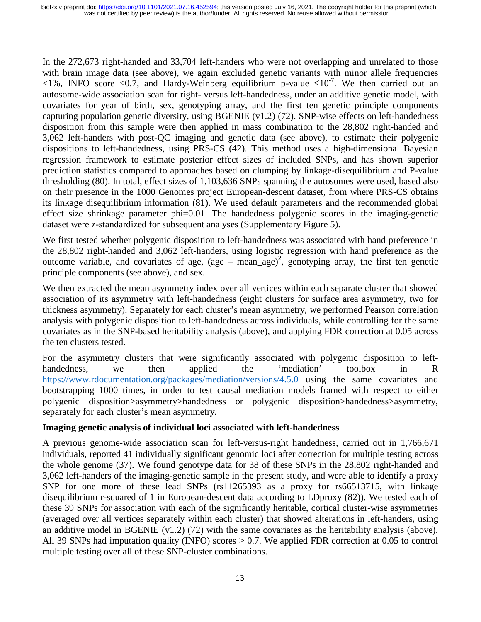In the 272,673 right-handed and 33,704 left-handers who were not overlapping and unrelated to those with brain image data (see above), we again excluded genetic variants with minor allele frequencies  $\leq$ 1%, INFO score  $\leq$ 0.7, and Hardy-Weinberg equilibrium p-value  $\leq$ 10<sup>-7</sup>. We then carried out an autosome-wide association scan for right- versus left-handedness, under an additive genetic model, with covariates for year of birth, sex, genotyping array, and the first ten genetic principle components capturing population genetic diversity, using BGENIE (v1.2) (72). SNP-wise effects on left-handedness disposition from this sample were then applied in mass combination to the 28,802 right-handed and 3,062 left-handers with post-QC imaging and genetic data (see above), to estimate their polygenic dispositions to left-handedness, using PRS-CS (42). This method uses a high-dimensional Bayesian regression framework to estimate posterior effect sizes of included SNPs, and has shown superior prediction statistics compared to approaches based on clumping by linkage-disequilibrium and P-value thresholding (80). In total, effect sizes of 1,103,636 SNPs spanning the autosomes were used, based also on their presence in the 1000 Genomes project European-descent dataset, from where PRS-CS obtains its linkage disequilibrium information (81). We used default parameters and the recommended global effect size shrinkage parameter phi=0.01. The handedness polygenic scores in the imaging-genetic dataset were z-standardized for subsequent analyses (Supplementary Figure 5).

We first tested whether polygenic disposition to left-handedness was associated with hand preference in the 28,802 right-handed and 3,062 left-handers, using logistic regression with hand preference as the outcome variable, and covariates of age, (age – mean\_age)<sup>2</sup>, genotyping array, the first ten genetic principle components (see above), and sex.

We then extracted the mean asymmetry index over all vertices within each separate cluster that showed association of its asymmetry with left-handedness (eight clusters for surface area asymmetry, two for thickness asymmetry). Separately for each cluster's mean asymmetry, we performed Pearson correlation analysis with polygenic disposition to left-handedness across individuals, while controlling for the same covariates as in the SNP-based heritability analysis (above), and applying FDR correction at 0.05 across the ten clusters tested.

For the asymmetry clusters that were significantly associated with polygenic disposition to lefthandedness, we then applied the 'mediation' toolbox in R https://www.rdocumentation.org/packages/mediation/versions/4.5.0 using the same covariates and bootstrapping 1000 times, in order to test causal mediation models framed with respect to either polygenic disposition>asymmetry>handedness or polygenic disposition>handedness>asymmetry, separately for each cluster's mean asymmetry.

## **Imaging genetic analysis of individual loci associated with left-handedness**

A previous genome-wide association scan for left-versus-right handedness, carried out in 1,766,671 individuals, reported 41 individually significant genomic loci after correction for multiple testing across the whole genome (37). We found genotype data for 38 of these SNPs in the 28,802 right-handed and 3,062 left-handers of the imaging-genetic sample in the present study, and were able to identify a proxy SNP for one more of these lead SNPs (rs11265393 as a proxy for rs66513715, with linkage disequilibrium r-squared of 1 in European-descent data according to LDproxy (82)). We tested each of these 39 SNPs for association with each of the significantly heritable, cortical cluster-wise asymmetries (averaged over all vertices separately within each cluster) that showed alterations in left-handers, using an additive model in BGENIE (v1.2) (72) with the same covariates as the heritability analysis (above). All 39 SNPs had imputation quality (INFO) scores > 0.7. We applied FDR correction at 0.05 to control multiple testing over all of these SNP-cluster combinations.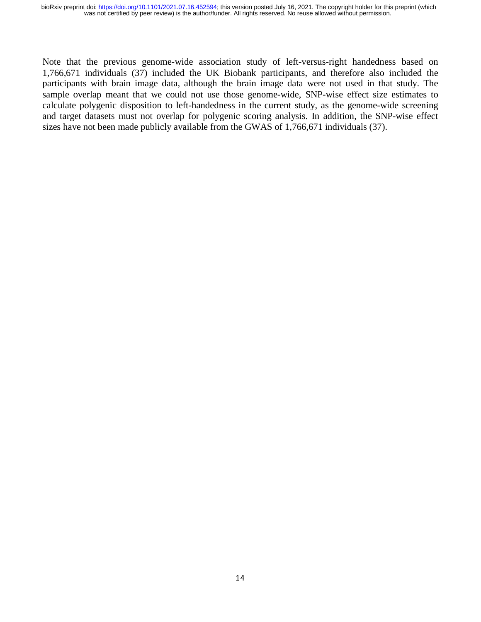Note that the previous genome-wide association study of left-versus-right handedness based on 1,766,671 individuals (37) included the UK Biobank participants, and therefore also included the participants with brain image data, although the brain image data were not used in that study. The sample overlap meant that we could not use those genome-wide, SNP-wise effect size estimates to calculate polygenic disposition to left-handedness in the current study, as the genome-wide screening and target datasets must not overlap for polygenic scoring analysis. In addition, the SNP-wise effect sizes have not been made publicly available from the GWAS of 1,766,671 individuals (37).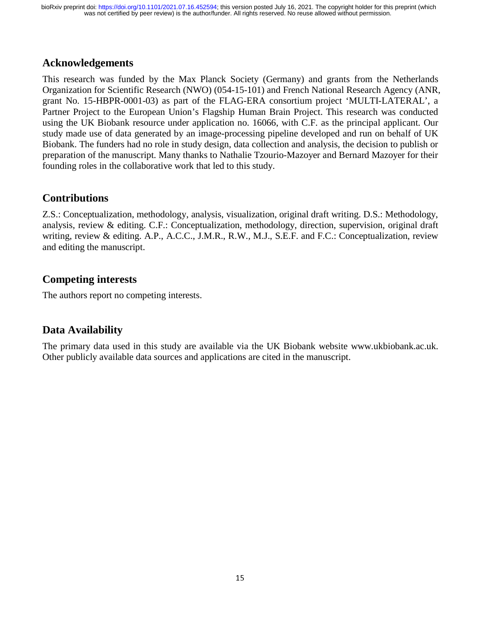# **Acknowledgements**

This research was funded by the Max Planck Society (Germany) and grants from the Netherlands Organization for Scientific Research (NWO) (054-15-101) and French National Research Agency (ANR, grant No. 15-HBPR-0001-03) as part of the FLAG-ERA consortium project 'MULTI-LATERAL', a Partner Project to the European Union's Flagship Human Brain Project. This research was conducted using the UK Biobank resource under application no. 16066, with C.F. as the principal applicant. Our study made use of data generated by an image-processing pipeline developed and run on behalf of UK Biobank. The funders had no role in study design, data collection and analysis, the decision to publish or preparation of the manuscript. Many thanks to Nathalie Tzourio-Mazoyer and Bernard Mazoyer for their founding roles in the collaborative work that led to this study.

# **Contributions**

Z.S.: Conceptualization, methodology, analysis, visualization, original draft writing. D.S.: Methodology, analysis, review & editing. C.F.: Conceptualization, methodology, direction, supervision, original draft writing, review & editing. A.P., A.C.C., J.M.R., R.W., M.J., S.E.F. and F.C.: Conceptualization, review and editing the manuscript.

# **Competing interests**

The authors report no competing interests.

# **Data Availability**

The primary data used in this study are available via the UK Biobank website www.ukbiobank.ac.uk. Other publicly available data sources and applications are cited in the manuscript.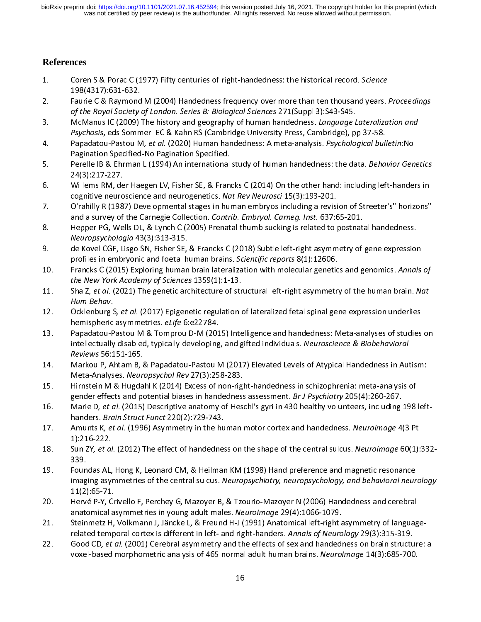# **References**

- 1. Coren S & Porac C (1977) Fifty centuries of right-handedness: the historical record. Science<br>198(4317):631-632.<br>2. Faurie C & Raymond M (2004) Handedness frequency over more than ten thousand years.
- -------------------<br>Faurie C & Raymond<br>*of the Royal Society* 2. Faurie C & Raymond M (2004) Handedness frequency over more than ten thousand years. Proceedings<br>of the Royal Society of London. Series B: Biological Sciences 271 (Suppl 3):S43-S45.<br>3. McManus IC (2009) The history and g
- of the Royal Society of London. Series B: Biological Sciences 271(Suppl 3):S43-S45.<br>McManus IC (2009) The history and geography of human handedness. *Language L*<br>Psychosis, eds Sommer IEC & Kahn RS (Cambridge University Pr 3. McManus IC (2009) The history and geography of human handedness. Language Lateranzation and<br>Psychosis, eds Sommer IEC & Kahn RS (Cambridge University Press, Cambridge), pp 37-58.<br>4. Papadatou-Pastou M, et al. (2020) Hum
- Psychosis, eds Sommer IEC & Kahn RS (Cambridge University Press, Cambridge), pp 37-56.<br>Papadatou-Pastou M, *et al.* (2020) Human handedness: A meta-analysis. *Psychological bull*<br>Pagination Specified-No Pagination Specifie 4. Papadatou-Pastou M, et al. (2020) Human handedness: A meta-analysis. Psychological bulletin:No<br>Pagination Specified-No Pagination Specified.<br>5. Perelle IB & Ehrman L (1994) An international study of human handedness: th
- Perelle IB & Ehrman L (1994) An international<br>24(3):217-227. 5. Perence IB & Emman L (1994) An international study of human handedness: the data. Behavior Genetics<br>24(3):217-227. Willems RM, der Haegen LV, Fisher SE, & Francks C (2014) On the other hand: including left-handers in
- wilems RM, de<br>cognitive neuro
- 6. Willems RM, der Haugen LV, Fisher Lay, Element Collection, Casemannian Research Condition Reportive neuroscience and neurogenetics. Nat Rev Neurosci 15(3):193-201.<br>7. O'rahilly R (1987) Developmental stages in human emb cognitive neuroscience and neurogenetics. Nat Rev Neuroscr 15(3):133-201.<br>O'rahilly R (1987) Developmental stages in human embryos including a revisi<br>and a survey of the Carnegie Collection. *Contrib. Embryol. Carneg. Inst* 7. O'rahilly R (1987) Developmental stages in human embryos including a revision of Streeter's" horizons"<br>and a survey of the Carnegie Collection. *Contrib. Embryol. Carneg. Inst.* 637:65-201.<br>8. Hepper PG, Wel
- and a survey of the carnegie collection. Commo: Embryol. Cameg. Inst. 637:65-201.<br>Hepper PG, Wells DL, & Lynch C (2005) Prenatal thumb sucking is related to postnat.<br>Neuropsychologia 43(3):313-315. 8. Hepper PG, Wells DL, & Lynch C (2005) Prenatal thumb sucking is related to postnatal handedness.<br> *Neuropsychologia* 43(3):313-315.<br>
9. de Kovel CGF, Lisgo SN, Fisher SE, & Francks C (2018) Subtle left-right asymmetry o
- profiles in embryonic and foetal human brains. Scientific reports 8(1):12606.
- 9. 19. de Kovel Corel Corel Corel Corel Corel Corel Corel Corel Corel Corel Corel Corel Corel Corel Corel Corel<br>10. Francks C (2015) Exploring human brain lateralization with molecular genetics and genomics. Annals profiles in embryonic and foetal human brains. Scientific reports 6(1):12606.<br>Francks C (2015) Exploring human brain lateralization with molecular genetic<br>the New York Academy of Sciences 1359(1):1-13. 10. Francks C (2015) Exploring human brain lateralization with molecular genetics and genomics. Annuls by<br>the New York Academy of Sciences 1359(1):1-13.<br>11. Sha Z, et al. (2021) The genetic architecture of structural left-
- the New York Academy of Sciences 1339(1):1-13.<br>Sha Z, et al. (2021) The genetic architecture of str<br>Hum Behav. 11. Sha Z, et al. (2021) The genetic architecture of structural left-right asymmetry of the human brain. Nat<br>Hum Behav.<br>12. Ocklenburg S, et al. (2017) Epigenetic regulation of lateralized fetal spinal gene expression unde
- *Hum Behav.*<br>Ocklenburg S<br>hemispheric 12. Ocklenburg S, et al. (2017) Epigenetic regulation of lateralized fetal spinal gene expression underlies<br>hemispheric asymmetries. *eLife* 6:e22784.<br>13. Papadatou-Pastou M & Tomprou D-M (2015) Intelligence and handedness
- hemispheric asymmetries. ezije 6:e22784.<br>Papadatou-Pastou M & Tomprou D-M (201<br>intellectually disabled, typically developing 13. Papadatou-Pastou M & Tomprou D-M (2015) Intelligence and handedness: Meta-analyses of stuc<br>intellectually disabled, typically developing, and gifted individuals. Neuroscience & Biobehavioral<br>Reviews 56:151-165.<br>Markou
- Markou P, Ahtam B, & Papadatou-Pastou M (2017) Elevated Levels of Atypical Handedness in Autism: Meta-Analyses. Neuropsychol Rev 27(3):258-283. 14. Markou P, Antine, British B, Antine, Antine, Atton M (2014) Elevation 2014<br>Meta-Analyses. Neuropsychol Rev 27(3):258-283.<br>15. Hirnstein M & Hugdahl K (2014) Excess of non-right-handedness in schizophrenia: meta-analysi
- Meta-Analyses. Neuropsychol Rev 27(3):258-283.<br>Hirnstein M & Hugdahl K (2014) Excess of non-rig<br>gender effects and potential biases in handedness
- 15. Hirnstein M Branch K (2021) Excess of non-right-handedness in the Fighter of the Hugganian Special Constant<br>16. Marie D, et al. (2015) Descriptive anatomy of Heschl's gyri in 430 healthy volunteers, including 198 gender effects and potential biases in handedness assessment. *Br J Psychiatry 205*(4):260-267.<br>Marie D, *et al.* (2015) Descriptive anatomy of Heschl's gyri in 430 healthy volunteers, including<br>handers. *Brain Struct Func* 16. Marie D, *et al.* (2015) Descriptive anatomy of Heschl's gyri in 430 healthy volunteers, including 198 left-<br>handers. *Brain Struct Funct* 220(2):729-743.<br>17. Amunts K, *et al.* (1996) Asymmetry in the human motor cort
- handers. *Brain Struct Funct 220(2):725-743.*<br>Amunts K, *et al.* (1996) Asymmetry in the hu<br>1):216-222. 17. Amunts K, et al. (1990) Asymmetry in the human motor cortex and handedness. Neuroimage 4(3 Pt<br>18. Sun ZY, et al. (2012) The effect of handedness on the shape of the central sulcus. Neuroimage 60(1):
- -,---- ----<br>Sun ZY*, et al*<br>339. 18. Sun ZY, *et al.* (2012) The effect of handedness on the shape of the central sulcus. Neuroimage 60(1<br>339. Foundas AL, Hong K, Leonard CM, & Heilman KM (1998) Hand preference and magnetic resonance
- Foun<br>imag 19. Foundating, Foundating, Therman Em, Encountational Case of the Contract of the Central sulcus. Neuropsychiatry, neuropsychology, and behavioral neur 11(2):65-71. imaging asymmetries of the central sulcus. Neuropsychiatry, neuropsychology, and behavioral neurology<br>11(2):65-71.<br>Hervé P-Y, Crivello F, Perchey G, Mazoyer B, & Tzourio-Mazoyer N (2006) Handedness and cerebral
- --,-*,*--- -<br>Hervé P-Y, Cr<br>anatomical a
- anatomical asymmetries in young adult males. Neurolmage 29(4):1066-1079.<br>21. Steinmetz H, Volkmann J, Jäncke L, & Freund H-J (1991) Anatomical left-right asymmetry of languag anatomical asymmetries in young adult males. Neurollinge 29(4):1000-1079.<br>Steinmetz H, Volkmann J, Jäncke L, & Freund H-J (1991) Anatomical left-right a<br>related temporal cortex is different in left- and right-handers. Anna
- 22. Sood CD, *et al.* (2001) Gerebral asymmetry and the effects of sex and handedness on brain structure: related temporal cortex is different in left- and right-handers. Annuls by Neurology 25(3):315-315.<br>Good CD, *et al.* (2001) Cerebral asymmetry and the effects of sex and handedness on brain structu<br>voxel-based morphometri 22. Good CD, et al. (2001) Cerebral asymmetry and the effects of sex and handedness on brain structure<br>voxel-based morphometric analysis of 465 normal adult human brains. Neurolmage 14(3):685-700. voxel-based morphometric analysis of 465 normal adult human brains. Neuroimage 14(3):685-700.<br>16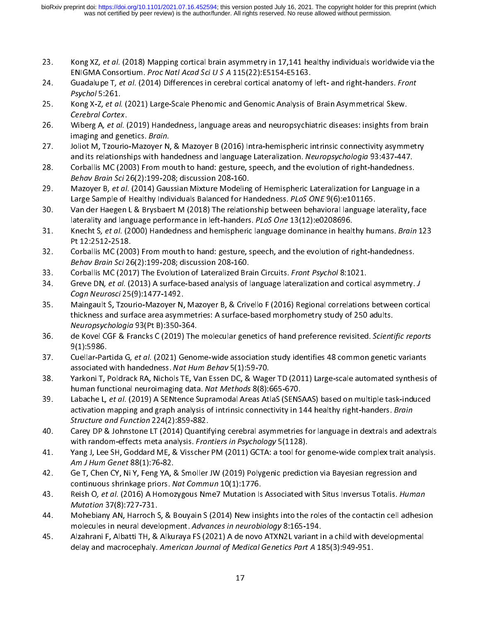- 23. Kong XZ, et al. (2010) Mapping cortical brain asymmetry in 17,141 healthy individuals worldwide via the<br>ENIGMA Consortium. Proc Natl Acad Sci U S A 115(22):E5154-E5163.<br>24. Guadalupe T, *et al.* (2014) Differences in c
- ENIGMA CONSORTIUM. Proc Natl Acad Sci U S A 115(22):E5154-E5165.<br>Guadalupe T, *et al.* (2014) Differences in cerebral cortical anatomy of<br>Psychol 5:261. 24. Guadalupe T, et al. (2014) Differences in cerebral cortical anatomy of left- and right-handers. From<br>Psychol 5:261. Kong X-Z, *et al.* (2021) Large-Scale Phenomic and Genomic Analysis of Brain Asymmetrical Skew.
- r sychol 5:261.<br>Kong X-Z, et al.<br>Cerebral Corte: 25. Kong X-Z, et al. (2021) Large-Scale Phenomic and Genomic Analysis of Brain Asymmetrical Skew.<br>Cerebral Cortex.<br>26. Wiberg A, et al. (2019) Handedness, language areas and neuropsychiatric diseases: insights from
- Cerebral Cortex.<br>Wiberg A, et al. (<br>imaging and gen 26. Wiberg A, et al. (2019) Handedness, language areas and neuropsychiatric diseases: insights from brain<br>imaging and genetics. *Brain*.<br>27. Joliot M, Tzourio-Mazoyer N, & Mazoyer B (2016) Intra-hemispheric intrinsic conne
- imaging and genetics. *Bram.*<br>Joliot M, Tzourio-Mazoyer N,<br>and its relationships with har and its relationships with handedness and language Lateralization. Neuropsychologia 93:437-447.<br>28. Corballis MC (2003) From mouth to hand: gesture, speech, and the evolution of right-handedness.
- Corballis MC (2003) From mouth to hand: gesture, speech, and the evolution of right-handedness.<br>Behav Brain Sci 26(2):199-208: discussion 208-160. 28. Corballis MC (2003) From mouth to hand: gesture, speech, and the evolution of right-handedness.<br>Behav Brain Sci 26(2):199-208; discussion 208-160.<br>29. Mazoyer B, et al. (2014) Gaussian Mixture Modeling of Hemispheric L
- Large Sample of Healthy Individuals Balanced for Handedness. PLoS ONE 9(6):e101165.
- 30. Van der Haegen L & Brysbaert M (2018) The relationship between behavioral language laterality, face laterality and language performance in left-handers. PLoS One 13(12):e0208696.
- 31. Van der Haegen L & Brysbaert M (2020) The relationship between behavioral language laterality and language performance in left-handers. *PLoS One* 13(12):e0208696.<br>31. Knecht S, *et al.* (2000) Handedness and hemispher laterality and language performance in left-handers. PLOS One 13(12):e0208056.<br>Knecht S, *et al.* (2000) Handedness and hemispheric language dominance in healt<br>Pt 12:2512-2518. 31. Knecht S, et al. (2000) Handedness and hemispheric language dominance in healthy humans. Bruin 123<br>Pt 12:2512-2518.<br>32. Corballis MC (2003) From mouth to hand: gesture, speech, and the evolution of right-handedness.
- Corballis MC (200<br>*Behav Brain Sci* 26 Behav Brain Sci 26(2):199-208; discussion 208-160.<br>33. Corballis MC (2017) The Evolution of Lateralized Brain Circuits. Front Psychol 8:1021.
- 
- Behav Brain Scr 20(2):199-200, discussion 200-100.<br>Corballis MC (2017) The Evolution of Lateralized Bra<br>Greve DN, *et al.* (2013) A surface-based analysis of l 33. Corballis MC (2017) The Evolution of Lateralized Brain Circuits. Front Psychol 8:1021.<br>34. Greve DN, et al. (2013) A surface-based analysis of language lateralization and cortical asymmetry. J<br>35. Maingault S, Tzourio-
- Maingault S, Tzourio-Mazoyer N, Mazoyer B, & Crivello F (2016) Regional correlations between cortical Cogn Neurosci 25(9):1477-1492.<br>Maingault S, Tzourio-Mazoyer N,<br>thickness and surface area asymi 35. Maingault S, Tzourio-Mazoyer N, Mazoyer B, 2016, Crivello F (2021) Regional contractions between correlations<br>thickness and surface area asymmetries: A surface-based morphometry study of 250 adults.<br>Neuropsychologia 93 Neuropsychologia 93(Pt B):350-364.<br>de Kovel CGF & Francks C (2019) The molecular genetics of hand preference revisited. *Scient*.
- Neuropsychologia 93(Pt B):350-364.<br>de Kovel CGF & Francks C (2019) The<br>9(1):5986. 36. de Kovel CGF & Francks C (2019) The molecular genetics of hand preference revisited. Scientific report<br>9(1):5986.<br>37. Cuellar-Partida G, et al. (2021) Genome-wide association study identifies 48 common genetic variants
- associated with handedness. Nat Hum Behav 5(1):59-70.
- 38. Yarkoni T, Poldrack RA, Nichols TE, Van Essen DC, & Wager TD (2011) Large-scale automated synthesis of human functional neuroimaging data. Nat Methods 8(8):665-670.
- 39. Labache L, et al. (2019) A SENtence Supramodal Areas AtlaS (SENSAAS) based on multiple task-induced human functional neuroimaging data. *Nut Methods* 8(8):665-670.<br>Labache L, *et al.* (2019) A SENtence Supramodal Areas AtlaS (SENS.<br>activation mapping and graph analysis of intrinsic connectivity in 1 39. Labache L, et al. (2019) A SENtence Supramodal Areas AtlaS (SENSAAS) based on multiple task-induced<br>activation mapping and graph analysis of intrinsic connectivity in 144 healthy right-handers. *Brain*<br>Structure and Fu Structure and Function 224(2):859-882.<br>Carey DP & Johnstone LT (2014) Quantifying cerebral asymmetries for language in dextrals and adextrals
- with random-effects meta analysis. Frontiers in Psychology 5(1128). with random-effects meta analysis. *Frontiers in Psychology* 5(1128).<br>41. Pang J, Lee SH, Goddard ME, & Visscher PM (2011) GCTA: a tool for genome-wide complex trait analysis.
- with random-effects meta analysis. Fromers in Psychology 5(1128).<br>Yang J, Lee SH, Goddard ME, & Visscher PM (2011) GCTA: a tool for g<br>Am J Hum Genet 88(1):76-82. 41. Yang J, Lee SH, Goddard ME, & Visscher PM (2011) GCTA: a tool for genome-wide complex trait ana<br>Am J Hum Genet 88(1):76-82.<br>42. Ge T, Chen CY, Ni Y, Feng YA, & Smoller JW (2019) Polygenic prediction via Bayesian regres
- continuous shrinkage priors. Nat Commun 10(1):1776.
- continuous shrinkage priors. Nat Commun 10(1):1776.<br>43. Aeish O, et al. (2016) A Homozygous Nme7 Mutation Is Associated with Situs Inversus Totalis. Humo continuous shrinkage priors. *Nat commun* 10(1):1776.<br>Reish O, *et al.* (2016) A Homozygous Nme7 Mutation Is<br>*Mutation* 37(8):727-731. 43. Reish O, et al. (2010) A Homozygous Nme7 Mutation Is Associated with Situs Inversus Totalis. Human Mutation 37(8):727-731.<br>44. Mohebiany AN, Harroch S, & Bouyain S (2014) New insights into the roles of the contactin ce
- Mutudion 37(8):727-731.<br>Mohebiany AN, Harroch 9<br>molecules in neural devel 44. Mohebian, Mohebian, Harroch S, Alexandrey, Harroch S, Alexandrey, Harroch S, Alexandrey, Andre Contactin S<br>45. Alzahrani F, Albatti TH, & Alkuraya FS (2021) A de novo ATXN2L variant in a child with developmental
- molecules in neural development. Advances *in heurobiology 8:165-194.*<br>Alzahrani F, Albatti TH, & Alkuraya FS (2021) A de novo ATXN2L variant ii<br>delay and macrocephaly. *American Journal of Medical Genetics Part A* 18 45. Alzahrani F, Albatti TH, & Alkuraya FS (2021) A de novo ATXN2L variant in a child with d<br>delay and macrocephaly. American Journal of Medical Genetics Part A 185(3):949-951. delay and macrocephaly. American Journal of Medical Genetics Part A 185(3):949-951.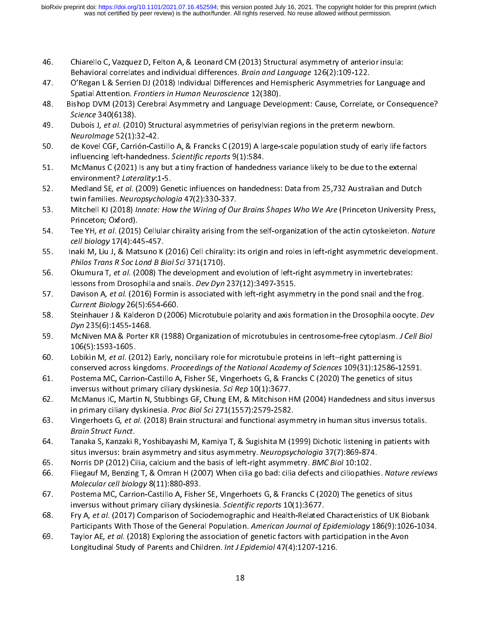- 
- 44. Chiarello Chiarello C, Vazquez D, Felton A, Chiarello C, Chiarello C, Valencia, Bramello C, Valencia, Bram<br>47. O'Regan L & Serrien DJ (2018) Individual Differences and Hemispheric Asymmetries for Languag Behavioral correlates and individual differences. *Brain and Language 120(2):109-122.*<br>O'Regan L & Serrien DJ (2018) Individual Differences and Hemispheric Asymmetries fo<br>Spatial Attention. *Frontiers in Human Neuroscience*
- 57. Spatial Attention. *Frontiers in Human Neuroscience* 12(380).<br>48. Bishop DVM (2013) Cerebral Asymmetry and Language Development: Cause, Correlate, or Consequeno Spatial Attention. Frontiers in Human Neuroscience 12(380).<br>Ishop DVM (2013) Cerebral Asymmetry and Language Devel<br>Science 340(6138). 14. Bishop DVM (2020) CEREBRAL Asymmetry and Language Development: Cause, Correlate, Or Consequence?<br>49. Dubois J, et al. (2010) Structural asymmetries of perisylvian regions in the preterm newborn.
- Science 340(6138).<br>Dubois J, et al. (201<br>Neurolmage 52(1): 49. Bubois J, et al. (2010) Structural asymmetries of perisylvian regions in the preterm newborn.<br>Meurolmage 52(1):32-42.<br>50. Late Kovel CGF, Carrión-Castillo A, & Francks C (2019) A large-scale population study of early l
- Neurollinge 52(1):52-42.<br>de Kovel CGF, Carrión-Cas<br>influencing left-handedne
- influencing left-handedness. Scientific reports 9(1):584.<br>51. McManus C (2021) Is any but a tiny fraction of handedness variance likely to be due to the external influencing left-handedness. Scientific reports 9(1):584.<br>McManus C (2021) Is any but a tiny fraction of handedn<br>environment? Laterality:1-5. 51. McManus C (2021) Is any but a tiny fraction of handedness variance likely to be due to the external<br>environment? Laterality:1-5.<br>52. Medland SE, et al. (2009) Genetic influences on handedness: Data from 25,732 Australi
- twin families. Neuropsychologia 47(2):330-337. 52. Mediand SE, et al. (2009) Genetic influences on handcomess: Data from 25,752 Australian and Dutch<br>twin families. Neuropsychologia 47(2):330-337.<br>53. Mitchell KJ (2018) Innate: How the Wiring of Our Brains Shapes Who We
- twin families. Neuropsychologia 47(2):330-337.<br>Mitchell KJ (2018) Innate: How the Wiring of Ou<br>Princeton; Oxford). SS. Mitchell KJ (2016) *Innate: How the Wiring of Our Brains Shapes Who We Are* (Princeton University Press,<br>Princeton; Oxford).<br>54. Tee YH, *et al.* (2015) Cellular chirality arising from the self-organization of the acti
- Tee YH, *et al.* (2015)<br>*Cell biology* 17(4):44 54. Tee TH, et al. (2015) Cellular chirality arising from the self-organization of the actin cytoskeleton. Nature<br>155. Thaki M, Liu J, & Matsuno K (2016) Cell chirality: its origin and roles in left-right asymmetric develo
- cen biology 17(4):445-457.<br>naki M, Liu J, & Matsuno K<br>Philos Trans R Soc Lond B B
- Philos Trans R Soc Lond B Biol Sci 371(1710).<br>56. Okumura T, et al. (2008) The development and evolution of left-right asymmetry in invertebrates: Philos Trans R Soc Lond B Biol Sci 371(1710).<br>Okumura T, *et al.* (2008) The development are<br>lessons from Drosophila and snails. *Dev Dyn* 56. Okumura T, et al. (2006) The development and evolution of left-right asymmetry in invertebrates.<br>Iessons from Drosophila and snails. *Dev Dyn* 237(12):3497-3515.<br>57. Davison A, *et al.* (2016) Formin is associated with
- lessons from Drosophila and snails. Dev Dyn 237(12):3497-3515.<br>Davison A, et al. (2016) Formin is associated with left-right asymr<br>Current Biology 26(5):654-660. 57. Davison A, et al. (2016) Formin is associated with left-right asymmetry in the pond snail and the frog.<br>Current Biology 26(5):654-660.<br>58. Steinhauer J & Kalderon D (2006) Microtubule polarity and axis formation in the
- c*urrent Biology 26(5):654-666.*<br>Steinhauer J & Kalderon D (200<br>Dyn 235(6):1455-1468. 58. Stemmader J & Kalderon D (2000) Microtubule polarity and axis formation in the Drosophila oocyte. Dev<br>Dyn 235(6):1455-1468.<br>59. McNiven MA & Porter KR (1988) Organization of microtubules in centrosome-free cytoplasm.
- Dyn 235(6):1455-1468.<br>McNiven MA & Porter K<br>106(5):1593-1605. 59. McNiven MA & Porter KR (1988) Organization of microtubules in centrosome-free cytoplasm. J<br>106(5):1593-1605.<br>60. Lobikin M, *et al.* (2012) Early, nonciliary role for microtubule proteins in left-right patterning is
- 106(1)<br>106 Lobikin M, et al. (20<br>106 conserved across k 60. Lobikin M, et al. (2012) Early, nonciliary role for microtubule proteins in left–right patterning is<br>161. Conserved across kingdoms. Proceedings of the National Academy of Sciences 109(31):12586-12<br>161. Postema MC, Car
- Postema MC, Carrion-Castillo A, Fisher SE, Vingerhoets G, & Francks C (2020) The genetics of situs<br>inversus without primary ciliary dyskinesia. Sci Rep 10(1):3677. 61. Postema MC, Carrion-Castillo A, Fisher SE, Vingerhoets G, & Francks C (2020) The genetics of situs<br>inversus without primary ciliary dyskinesia. Sci Rep 10(1):3677.<br>62. McManus IC, Martin N, Stubbings GF, Chung EM, & Mi
- in primary ciliary dyskinesia. Proc Biol Sci 271(1557):2579-2582. 63. McManus IC, Martin N, Studien Species, Chung Em, Chung Em, Manus Em, Manus Em and Stubbing<br>63. Mingerhoets G, et al. (2018) Brain structural and functional asymmetry in human situs inversus totalis.
- in primary chiary dyskinesia. Proc Biol Scr 271(1557):2575-2582.<br>Vingerhoets G, et al. (2018) Brain structural and functional asym<br>Brain Struct Funct. 63. Vingerhoets G, et al. (2016) Brain structural and functional asymmetry in human situs inversus totalis.<br>Brain Struct Funct.<br>64. Tanaka S, Kanzaki R, Yoshibayashi M, Kamiya T, & Sugishita M (1999) Dichotic listeni
- *Brain Struct Funct.*<br>Tanaka S, Kanzaki F<br>situs inversus: brair 64. Tanaka S, Kanzaki R, Yoshibayashi M, Kamiya T, & Sugishita M (1999) Dichotic listening in<br>
situs inversus: brain asymmetry and situs asymmetry. *Neuropsychologia* 37(7):869-874.<br>
65. Norris DP (2012) Cilia, calcium and
- 
- situs inversus: brain asymmetry and situs asymmetry. Ne*uropsychologiu 37(7):865-874.*<br>Norris DP (2012) Cilia, calcium and the basis of left-right asymmetry. *BMC Biol* 10:102.<br>Fliegauf M, Benzing T, & Omran H (2007) When 66. Norris Dr (2012) Cilia, calcium and the basis of left-right asymmetry. BMC Biol 10:102.<br>66. Fliegauf M, Benzing T, & Omran H (2007) When cilia go bad: cilia defects and ciliopathic<br>Molecular cell biology 8(11):880-893. Molecular cell biology 8(11):880-893.<br>67. Postema MC, Carrion-Castillo A, Fisher SE, Vingerhoets G, & Francks C (2020) The genetics of situs
- inversus without primary ciliary dyskinesia. Scientific reports 10(1):3677. inversus without primary ciliary dyskinesia. Scientific reports 10(1):3677.<br>68. Fry A, et al. (2017) Comparison of Sociodemographic and Health-Related Characteristics of UK Biok
- inversus without primary ciliary dyskinesia. Scientific reports 10(1):3677.<br>Fry A, *et al.* (2017) Comparison of Sociodemographic and Health-Related<br>Participants With Those of the General Population. *American Journal of E* 68. Fry A, et al. (2017) Comparison of Sociodemographic and Health-Related Characteristics of UK Biobank<br>Participants With Those of the General Population. American Journal of Epidemiology 186(9):1026-1034.<br>69. Taylor AE,
- Taylor AE, et al. (2018) Exploring the association of genetic factors with participation in the Avon Longitudinal Study of Parents and Children. Int J Epidemiol 47(4):1207-1216. Longitudinal Study of Parents and Children. Int J Epidemiol 47(4):1207-1216.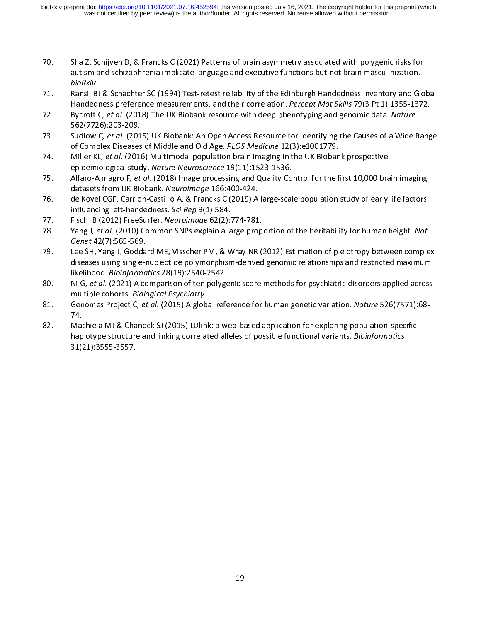- 70. Sha Z, Schijven D, & Francks C (2021) Patterns of brain asymmetry associated with polygenic risks for<br>autism and schizophrenia implicate language and executive functions but not brain masculinization.<br>*bioRxiv*. Ransil
- Ransil BJ & Schachter SC (1994) Test-retest reliability of the Edinburgh Handedness Inventory and Global *bioriary*<br>Ransil BJ<br>Handedr Handedness preference measurements, and their correlation. *Percept Mot Skills* 79(3 Pt 1):1355-1372.<br>72. Bycroft C, *et al.* (2018) The UK Biobank resource with deep phenotyping and genomic data. Nature
- Bycroft C, et al. (2018) The UK Biobank resource with deep phenotyping and genomic data. Nature<br>562(7726):203-209. 72. Bycroft C, et al. (2018) The UK Biobank resource with deep phenotyping and genomic data. Nature<br>562(7726):203-209.<br>73. Sudlow C, et al. (2015) UK Biobank: An Open Access Resource for Identifying the Causes of a Wide Ra
- of Complex Diseases of Middle and Old Age. PLOS Medicine 12(3):e1001779. 73. Sudlow C, et al. (2015) OK Biobank: An Open Access Resource for Identifying the Causes of a Wide Range<br>of Complex Diseases of Middle and Old Age. *PLOS Medicine* 12(3):e1001779.<br>74. Miller KL, *et al.* (2016) Multimoda
- of Complex Diseases of Middle and Old Age. P*LOS Medicine 12(3):*e1001779.<br>Miller KL, *et al.* (2016) Multimodal population brain imaging in the UK Bioban<br>epidemiological study. *Nature Neuroscience* 19(11):1523-1536. For all miller KL, et al. (2010) Multimodal population brain imaging in the OK Biobank prospective<br>epidemiological study. Nature Neuroscience 19(11):1523-1536.<br>75. Alfaro-Almagro F, et al. (2018) Image processing and Quali
- epidemiological study. Nature Neuroscience 19(11):1523-1536.<br>Alfaro-Almagro F, *et al.* (2018) Image processing and Quality Co<br>datasets from UK Biobank. *Neuroimage* 166:400-424. 75. Alfaro-Almagro F, et al. (2018) Image processing and Quality Control for the first 10,000 brain imaging<br>datasets from UK Biobank. Neuroimage 166:400-424.<br>76. Late Kovel CGF, Carrion-Castillo A, & Francks C (2019) A lar
- de Kovel CGF, Carrion-Castillo A, & Francks C (2019) A<br>de Kovel CGF, Carrion-Castillo A, & Francks C (2019) A<br>influencing left-handedness. Sci Rep 9(1):584. influencing left-handedness. Sci Rep 9(1):584.<br>77. de Fischl B (2012) FreeSurfer. Neuroimage 62(2):774-781.
- 
- influencing left-handedness. Scrivep 5(1):584.<br>Fischl B (2012) FreeSurfer. *Neuroimage* 62(2):5<br>Yang J*, et al.* (2010) Common SNPs explain a la Fischl B (2012) FreeSurfer. *Neuroimage* 62(2):774-781.<br>78. Pang J, *et al.* (2010) Common SNPs explain a large proportion of the heritability for human height. Nat<br>6*enet* 42(7):565-569.<br>79. Lee SH. Yang J. Goddard ME. Vi 78. Yang J, et al. (2010) Common SNPs explain a large proportion of the heritability for human height. Nut<br>Genet 42(7):565-569.<br>T9. Lee SH, Yang J, Goddard ME, Visscher PM, & Wray NR (2012) Estimation of pleiotropy between
- Genet 42(7,565-569.<br>Lee SH, Yang J, Godda<br>diseases using single-r diseases using single-nucleotide polymorphism-derived genomic relationships and restricted maximum<br>likelihood. *Bioinformatics* 28(19):2540-2542.<br>80. Ni G, *et al.* (2021) A comparison of ten polygenic score methods for ps
- diseases using single-nucleotide polymorphism-derived genomic relationships and relationships in<br>likelihood. Bioinformatics 28(19):2540-2542.<br>Ni G, et al. (2021) A comparison of ten polygenic score methods for psychiatric likelihood. *Biomformatics 28(19):2540-2542.*<br>Ni G, *et al.* (2021) A comparison of ten polyge<br>multiple cohorts. *Biological Psychiatry*. 80. Ni G, et al. (2021) A comparison of ten polygenic score methods for psychiatric disorders applied across<br>multiple cohorts. *Biological Psychiatry*.<br>81. Genomes Project C, *et al.* (2015) A global reference for human ge
- multiple cohorts. *Biological Psychiatry.*<br>Genomes Project C, *et al.* (2015) A glob<br>74. 81. Genomes Project C, *et al.* (2015) A global reference for human genetic variation. Nature 526(7571):<br>74. Machiela MJ & Chanock SJ (2015) LDlink: a web-based application for exploring population-specific
- Ma<br>hap haplotype structure and linking correlated alleles of possible functional variants. *Bioinformatics*<br>31(21):3555-3557. haplotype structure and linking correlated alleles or possible functional variants. *Bioinformatics*<br>31(21):3555-3557. 31(21):3555-3557.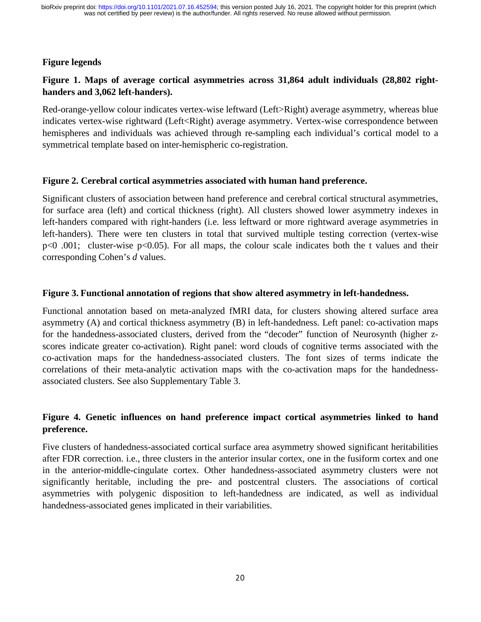## **Figure legends**

# **Figure 1. Maps of average cortical asymmetries across 31,864 adult individuals (28,802 righthanders and 3,062 left-handers).**

Red-orange-yellow colour indicates vertex-wise leftward (Left>Right) average asymmetry, whereas blue indicates vertex-wise rightward (Left<Right) average asymmetry. Vertex-wise correspondence between hemispheres and individuals was achieved through re-sampling each individual's cortical model to a symmetrical template based on inter-hemispheric co-registration.

#### **Figure 2. Cerebral cortical asymmetries associated with human hand preference.**

Significant clusters of association between hand preference and cerebral cortical structural asymmetries, for surface area (left) and cortical thickness (right). All clusters showed lower asymmetry indexes in left-handers compared with right-handers (i.e. less leftward or more rightward average asymmetries in left-handers). There were ten clusters in total that survived multiple testing correction (vertex-wise p<0 .001; cluster-wise p<0.05). For all maps, the colour scale indicates both the t values and their corresponding Cohen's *d* values.

#### Figure 3. Functional annotation of regions that show altered asymmetry in left-handedness.

**Figure 3. Functional annotation of regions that show altered asymmetry in left-handedness.**<br>
Functional annotation based on meta-analyzed fMRI data, for clusters showing altered surface area<br> **Examinized** (A) and serticel asymmetry (A) and cortical thickness asymmetry (B) in left-handedness. Left panel: co-activation maps for the handedness-associated clusters, derived from the "decoder" function of Neurosynth (higher zscores indicate greater co-activation). Right panel: word clouds of cognitive terms associated with the co-activation maps for the handedness-associated clusters. The font sizes of terms indicate the correlations of their meta-analytic activation maps with the co-activation maps for the handednessassociated clusters. See also Supplementary Table 3.

# **Figure 4. Genetic influences on hand preference impact cortical asymmetries linked to hand preference.**

Five clusters of handedness-associated cortical surface area asymmetry showed significant heritabilities after FDR correction. i.e., three clusters in the anterior insular cortex, one in the fusiform cortex and one in the anterior-middle-cingulate cortex. Other handedness-associated asymmetry clusters were not significantly heritable, including the pre- and postcentral clusters. The associations of cortical asymmetries with polygenic disposition to left-handedness are indicated, as well as individual handedness-associated genes implicated in their variabilities.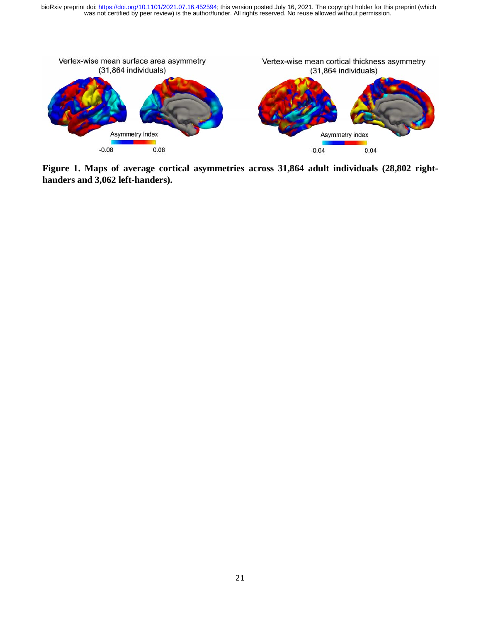was not certified by peer review) is the author/funder. All rights reserved. No reuse allowed without permission. bioRxiv preprint doi: [https://doi.org/10.1101/2021.07.16.452594;](https://doi.org/10.1101/2021.07.16.452594) this version posted July 16, 2021. The copyright holder for this preprint (which



**Figure 1. Maps of average cortical asymmetries across 31,864 adult individuals (28,802 righthanders and 3,062 left-handers).**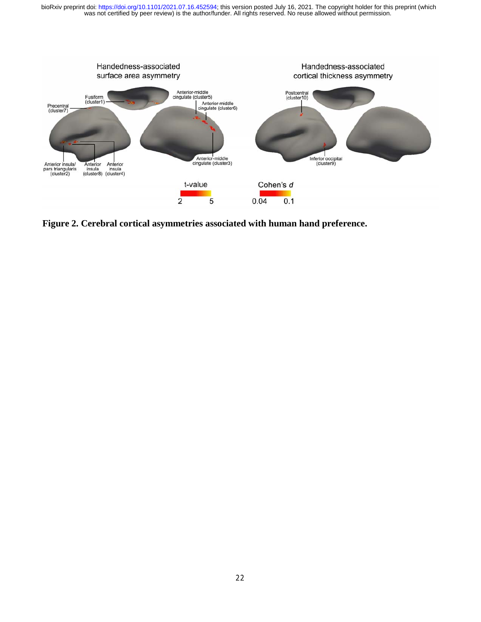was not certified by peer review) is the author/funder. All rights reserved. No reuse allowed without permission. bioRxiv preprint doi: [https://doi.org/10.1101/2021.07.16.452594;](https://doi.org/10.1101/2021.07.16.452594) this version posted July 16, 2021. The copyright holder for this preprint (which



**Figure 2. Cerebral cortical asymmetries associated with human hand preference.**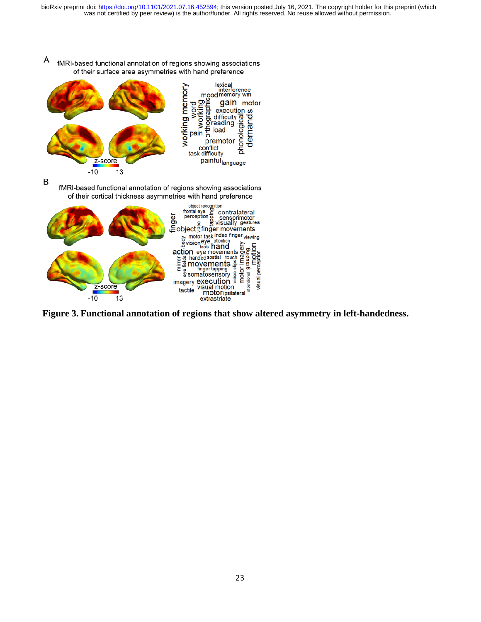

Α fMRI-based functional annotation of regions showing associations of their surface area asymmetries with hand preference

B

fMRI-based functional annotation of regions showing associations of their cortical thickness asymmetries with hand preference



**Figure 3. Functional annotation of regions that show altered asymmetry in left-handedness.**